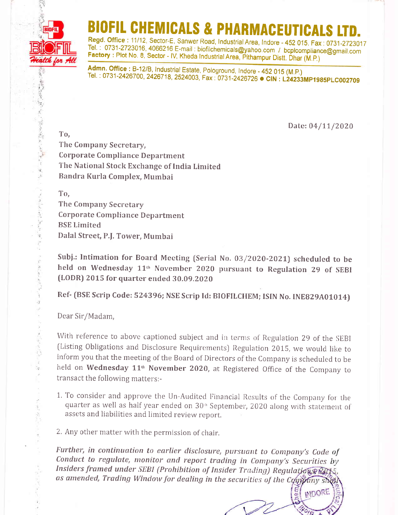

## IOFIL CHEMICALS & PHARMACEUTICALS LT

Regd. Office : 11/12, Sector-E, Sanwer Road, Industrial Area, Indore - 452 015. Fax: 0731-2723017<br>Tel.: 0731-2723016, 4066216 E-mail: biofilchemicals@yahoo.com / bcplcompliance@gmail.com Factory : Plot No. 8, Sector - IV, Kheda Industrial Area, Pithampur Distt. Dhar (M.P.)<br>Admn. Office : B-12/B, Industrial Estate, Pologround, Indore - 452 015 (M.P.)

Tel. : 0731-2426700, 2426718, 2524003, Fax : 0731-2426726 ● CIN : L24233MP1985PLC002709

Date: 04/11/2020

INDORE

To, The Company Secretary, Corporate Compliance Department The National Stock Exchange of India Limited Bandra Kurla Complex, Mumbai

To,

The Company Secretary Corporate Compliance Department BSE Limited Dalal Strcet, P.f. Tower, Mumbai

Subj.: Intimation for Board Meeting (Serial No.  $03/2020$ -2021) scheduled to be held on Wednesday 11<sup>th</sup> November 2020 pursuant to Regulation 29 of SEBI (LODR) 2015 for quarter ended 30.09.2020

Ref- (BSE Scrip Code: 524396; NSE Scrip Id: BIOFILCHEM; ISIN No. INE829A01014)

Dear Sir/Madam,

With reference to above captioned subject and in terms of Regulation 29 of the SEBI (Listing Obligations and Disclosure Requirements) Regulation 2015, we would like to inform you that the meeting of the Board of Directors of the Company is schedulcd to be held on Wednesday 11<sup>th</sup> November 2020, at Registered Office of the Company to transact the following matters:-

1. To consider and approve the Un-Audited Financial Results of the Company for the quarter as well as half year ended on 30<sup>th</sup> September, 2020 along with statement of assets and liabilities and Iimited review report,

2. Any other matter with the permission of chair.

Further, in continuation to earlier disclosure, pursuant to Company's Code of Conduct to regulate, monitor and report trading in Company's Securities by Insiders framed under SEBI (Prohibition of Insider Trading) Regulation & PALS, as amended, Trading Window for dealing in the securities of the Company shell